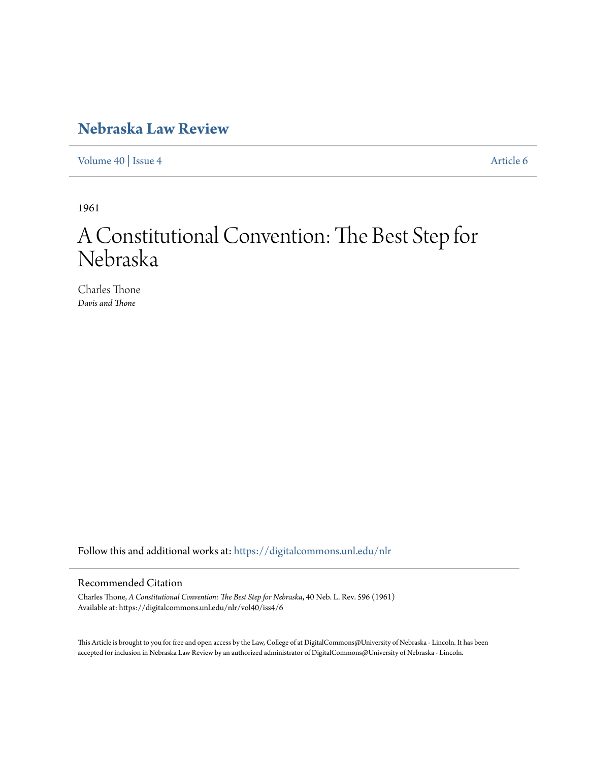### **[Nebraska Law Review](https://digitalcommons.unl.edu/nlr?utm_source=digitalcommons.unl.edu%2Fnlr%2Fvol40%2Fiss4%2F6&utm_medium=PDF&utm_campaign=PDFCoverPages)**

[Volume 40](https://digitalcommons.unl.edu/nlr/vol40?utm_source=digitalcommons.unl.edu%2Fnlr%2Fvol40%2Fiss4%2F6&utm_medium=PDF&utm_campaign=PDFCoverPages) | [Issue 4](https://digitalcommons.unl.edu/nlr/vol40/iss4?utm_source=digitalcommons.unl.edu%2Fnlr%2Fvol40%2Fiss4%2F6&utm_medium=PDF&utm_campaign=PDFCoverPages) [Article 6](https://digitalcommons.unl.edu/nlr/vol40/iss4/6?utm_source=digitalcommons.unl.edu%2Fnlr%2Fvol40%2Fiss4%2F6&utm_medium=PDF&utm_campaign=PDFCoverPages)

1961

# A Constitutional Convention: The Best Step for Nebraska

Charles Thone *Davis and Thone*

Follow this and additional works at: [https://digitalcommons.unl.edu/nlr](https://digitalcommons.unl.edu/nlr?utm_source=digitalcommons.unl.edu%2Fnlr%2Fvol40%2Fiss4%2F6&utm_medium=PDF&utm_campaign=PDFCoverPages)

#### Recommended Citation

Charles Thone, *A Constitutional Convention: The Best Step for Nebraska*, 40 Neb. L. Rev. 596 (1961) Available at: https://digitalcommons.unl.edu/nlr/vol40/iss4/6

This Article is brought to you for free and open access by the Law, College of at DigitalCommons@University of Nebraska - Lincoln. It has been accepted for inclusion in Nebraska Law Review by an authorized administrator of DigitalCommons@University of Nebraska - Lincoln.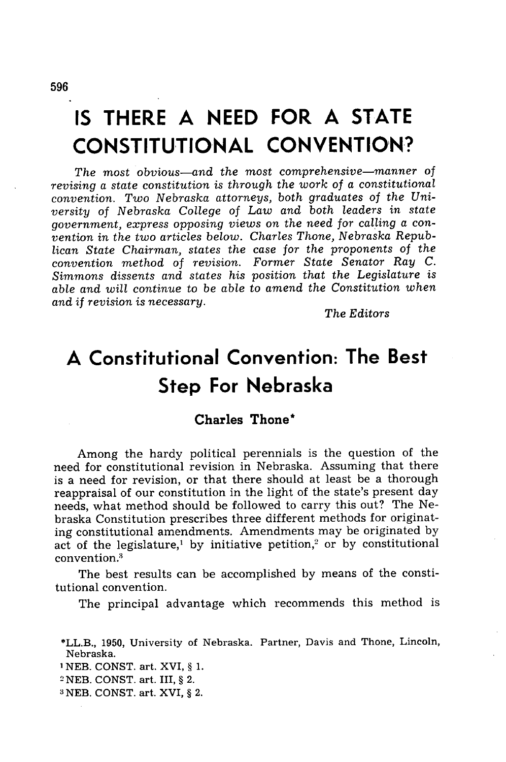## **IS THERE A NEED FOR A STATE CONSTITUTIONAL CONVENTION?**

*The* most *obvious-and the most comprehensive-manner of revising a state constitution is through the work of a constitutional convention. Two Nebraska attorneys, both graduates of the University of Nebraska College of Law and both leaders in state government, express opposing views on the need for calling a convention in the two articles below. Charles Thone, Nebraska Republican State Chairman, states the case for the proponents of the convention method of revision. Former State Senator Ray C. Simmons dissents and states his position that the Legislature is able and will continue to be able to amend the Constitution when and if revision is necessary.*

*The Editors*

### **A Constitutional Convention: The Best Step For Nebraska**

#### **Charles Thone\***

Among the hardy political perennials is the question of the need for constitutional revision in Nebraska. Assuming that there is a need for revision, or that there should at least be a thorough reappraisal of our constitution in the light of the state's present day needs, what method should be followed to carry this out? The Nebraska Constitution prescribes three different methods for originating constitutional amendments. Amendments may be originated by act of the legislature,<sup>1</sup> by initiative petition,<sup>2</sup> or by constitutional convention **.3**

The best results can be accomplished by means of the constitutional convention.

The principal advantage which recommends this method is

- **I** NEB. CONST. art. XVI, § 1.
- 2 NEB. CONST. art. III, § 2.
- 3NEB. CONST. art. XVI, § 2.

<sup>\*</sup>LL.B., 1950, University of Nebraska. Partner, Davis and Thone, Lincoln, Nebraska.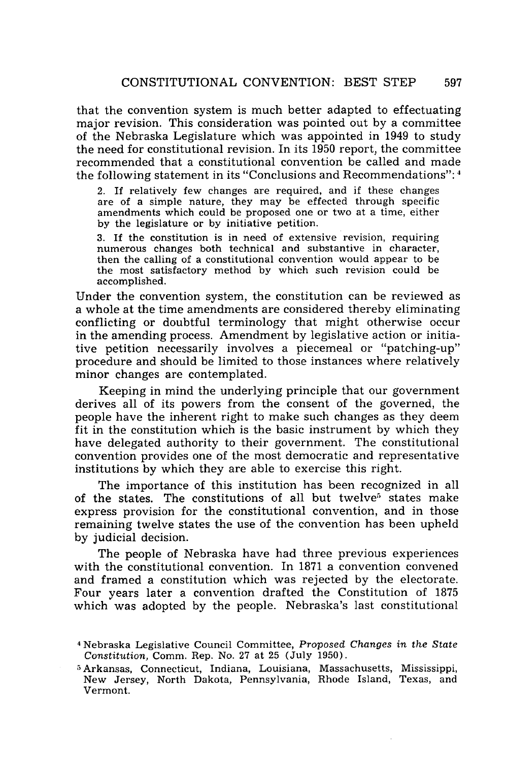that the convention system is much better adapted to effectuating major revision. This consideration was pointed out by a committee of the Nebraska Legislature which was appointed in 1949 to study the need for constitutional revision. In its 1950 report, the committee recommended that a constitutional convention be called and made the following statement in its "Conclusions and Recommendations": 4

2. If relatively few changes are required, and if these changes are of a simple nature, they may be effected through specific amendments which could be proposed one or two at a time, either by the legislature or by initiative petition.

3. If the constitution is in need of extensive revision, requiring numerous changes both technical and substantive in character, then the calling of a constitutional convention would appear to be the most satisfactory method by which such revision could be accomplished.

Under the convention system, the constitution can be reviewed as a whole at the time amendments are considered thereby eliminating conflicting or doubtful terminology that might otherwise occur in the amending process. Amendment by legislative action or initiative petition necessarily involves a piecemeal or "patching-up" procedure and should be limited to those instances where relatively minor changes are contemplated.

Keeping in mind the underlying principle that our government derives all of its powers from the consent of the governed, the people have the inherent right to make such changes as they deem fit in the constitution which is the basic instrument by which they have delegated authority to their government. The constitutional convention provides one of the most democratic and representative institutions by which they are able to exercise this right.

The importance of this institution has been recognized in all of the states. The constitutions of all but twelve<sup>5</sup> states make express provision for the constitutional convention, and in those remaining twelve states the use of the convention has been upheld by judicial decision.

The people of Nebraska have had three previous experiences with the constitutional convention. In 1871 a convention convened and framed a constitution which was rejected by the electorate. Four years later a convention drafted the Constitution of 1875 which was adopted by the people. Nebraska's last constitutional

**<sup>4</sup>** Nebraska Legislative Council Committee, *Proposed Changes in the State Constitution,* Comm. Rep. No. 27 at 25 (July 1950).

<sup>5</sup> Arkansas, Connecticut, Indiana, Louisiana, Massachusetts, Mississippi, New Jersey, North Dakota, Pennsylvania, Rhode Island, Texas, and Vermont.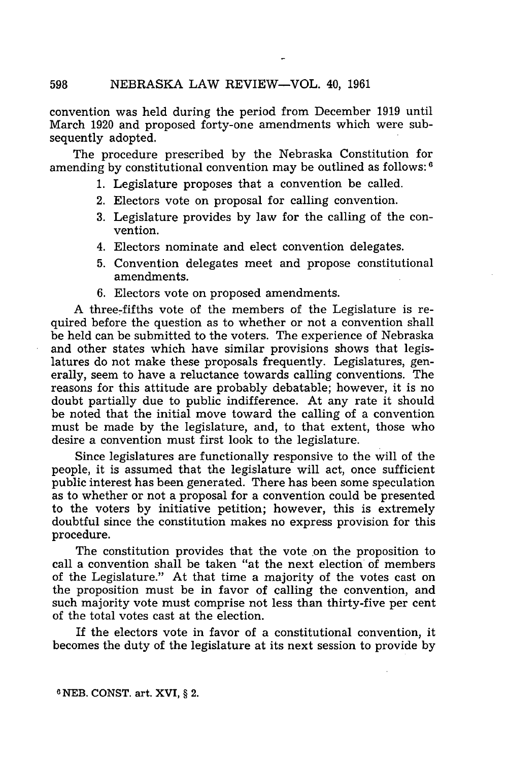convention was held during the period from December 1919 until March 1920 and proposed forty-one amendments which were subsequently adopted.

The procedure prescribed by the Nebraska Constitution for amending by constitutional convention may be outlined as follows: **<sup>6</sup>**

- 1. Legislature proposes that a convention be called.
- 2. Electors vote on proposal for calling convention.
- 3. Legislature provides by law for the calling of the convention.
- 4. Electors nominate and elect convention delegates.
- 5. Convention delegates meet and propose constitutional amendments.
- 6. Electors vote on proposed amendments.

A three-fifths vote of the members of the Legislature is required before the question as to whether or not a convention shall be held can be submitted to the voters. The experience of Nebraska and other states which have similar provisions shows that legislatures do not make these proposals frequently. Legislatures, generally, seem to have a reluctance towards calling conventions. The reasons for this attitude are probably debatable; however, it is no doubt partially due to public indifference. At any rate it should be noted that the initial move toward the calling of a convention must be made by the legislature, and, to that extent, those who desire a convention must first look to the legislature.

Since legislatures are functionally responsive to the will of the people, it is assumed that the legislature will act, once sufficient public interest has been generated. There has been some speculation as to whether or not a proposal for a convention could be presented to the voters by initiative petition; however, this is extremely doubtful since the constitution makes no express provision for this procedure.

The constitution provides that the vote on the proposition to call a convention shall be taken "at the next election of members of the Legislature." At that time a majority of the votes cast on the proposition must be in favor of calling the convention, and such majority vote must comprise not less than thirty-five per cent of the total votes cast at the election.

If the electors vote in favor of a constitutional convention, it becomes the duty of the legislature at its next session to provide by

598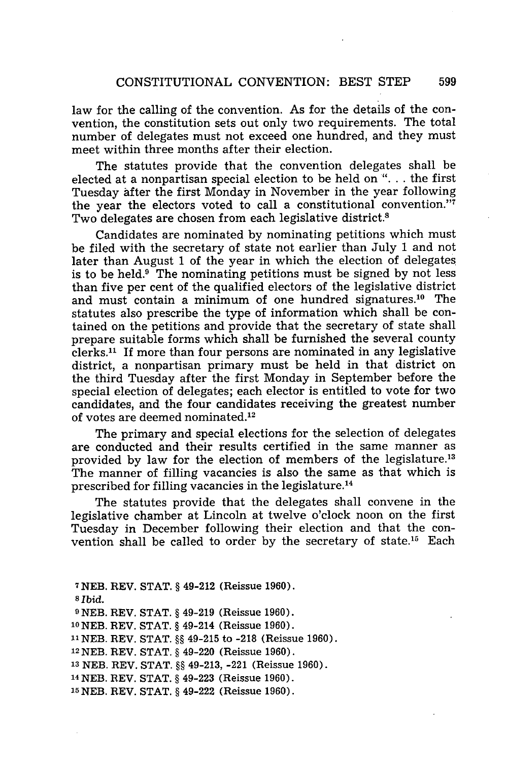law for the calling of the convention. As for the details of the convention, the constitution sets out only two requirements. The total number of delegates must not exceed one hundred, and they must meet within three months after their election.

The statutes provide that the convention delegates shall be elected at a nonpartisan special election to be held on ". **.** . the first Tuesday after the first Monday in November in the year following the year the electors voted to call a constitutional convention." Two delegates are chosen from each legislative district.<sup>8</sup>

Candidates are nominated by nominating petitions which must be filed with the secretary of state not earlier than July 1 and not later than August 1 of the year in which the election of delegates is to be held. $9$  The nominating petitions must be signed by not less than five per cent of the qualified electors of the legislative district and must contain a minimum of one hundred signatures.<sup>10</sup> The statutes also prescribe the type of information which shall be contained on the petitions and provide that the secretary of state shall prepare suitable forms which shall be furnished the several county clerks.<sup>11</sup> If more than four persons are nominated in any legislative district, a nonpartisan primary must be held in that district on the third Tuesday after the first Monday in September before the special election of delegates; each elector is entitled to vote for two candidates, and the four candidates receiving the greatest number of votes are deemed nominated. <sup>12</sup>

The primary and special elections for the selection of delegates are conducted and their results certified in the same manner as provided by law for the election of members of the legislature.<sup>13</sup> The manner of filling vacancies is also the same as that which is prescribed for filling vacancies in the legislature. <sup>14</sup>

The statutes provide that the delegates shall convene in the legislative chamber at Lincoln at twelve o'clock noon on the first Tuesday in December following their election and that the convention shall be called to order by the secretary of state.15 Each

7NEB. REV. STAT. § 49-212 (Reissue 1960). *s Ibid.* **9** NEB. REV. STAT. § 49-219 (Reissue 1960). '0NEB. REV. STAT. § 49-214 (Reissue 1960). 11NEB. REV. STAT. **§§** 49-215 to -218 (Reissue 1960). 12NEB. REV. STAT. § 49-220 (Reissue 1960). **<sup>13</sup>**NEB. REV. STAT. §§ 49-213, -221 (Reissue 1960). **<sup>14</sup>**NEB. REV. STAT. § 49-223 (Reissue 1960). 15NEB. REV. STAT. § 49-222 (Reissue 1960).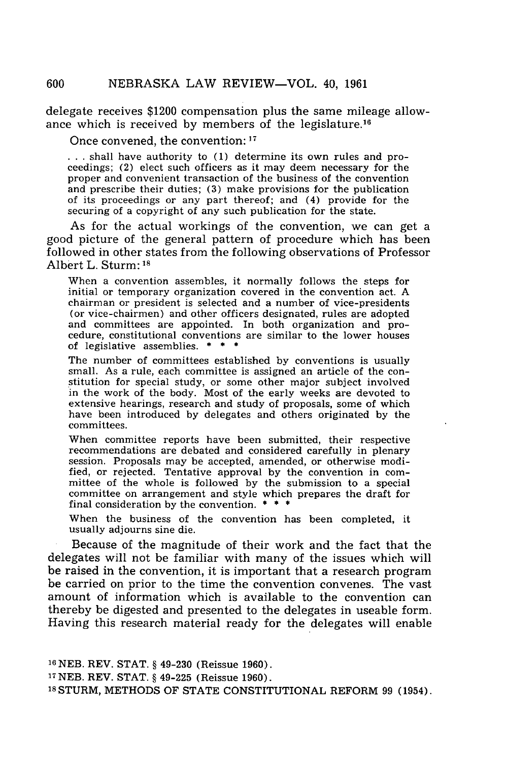delegate receives \$1200 compensation plus the same mileage allowance which is received **by** members of the legislature. <sup>16</sup>

Once convened, the convention: **<sup>17</sup>**

... shall have authority to (1) determine its own rules and proceedings; (2) elect such officers as it may deem necessary for the proper and convenient transaction of the business of the convention and prescribe their duties; **(3)** make provisions for the publication of its proceedings or any part thereof; and (4) provide for the securing of a copyright of any such publication for the state.

As for the actual workings of the convention, we can get a good picture of the general pattern of procedure which has been followed in other states from the following observations of Professor Albert L. Sturm: **1 8**

When a convention assembles, it normally follows the steps for initial or temporary organization covered in the convention act. **A** chairman or president is selected and a number of vice-presidents (or vice-chairmen) and other officers designated, rules are adopted and committees are appointed. In both organization and procedure, constitutional conventions are similar to the lower houses of legislative assemblies. **\* \* \***

The number of committees established **by** conventions is usually small. As a rule, each committee is assigned an article of the con- stitution for special study, or some other major subject involved in the work of the body. Most of the early weeks are devoted to extensive hearings, research and study of proposals, some of which have been introduced **by** delegates and others originated **by** the committees.

When committee reports have been submitted, their respective recommendations are debated and considered carefully in plenary session. Proposals may be accepted, amended, or otherwise modified, or rejected. Tentative approval **by** the convention in com- mittee of the whole is followed **by** the submission to a special committee on arrangement and style which prepares the draft for final consideration **by** the convention. **\* \* \***

When the business of the convention has been completed, it usually adjourns sine die.

Because of the magnitude of their work and the fact that the delegates will not be familiar with many of the issues which will be raised in the convention, it is important that a research program be carried on prior to the time the convention convenes. The vast amount of information which is available to the convention can thereby be digested and presented to the delegates in useable form. Having this research material ready for the delegates will enable

**16 NEB.** REV. **STAT. §** 49-230 (Reissue **1960). 17 NEB.** REV. **STAT. §** 49-225 (Reissue **1960). <sup>18</sup>**STURM, **METHODS** OF **STATE** CONSTITUTIONAL REFORM **99** (1954).

600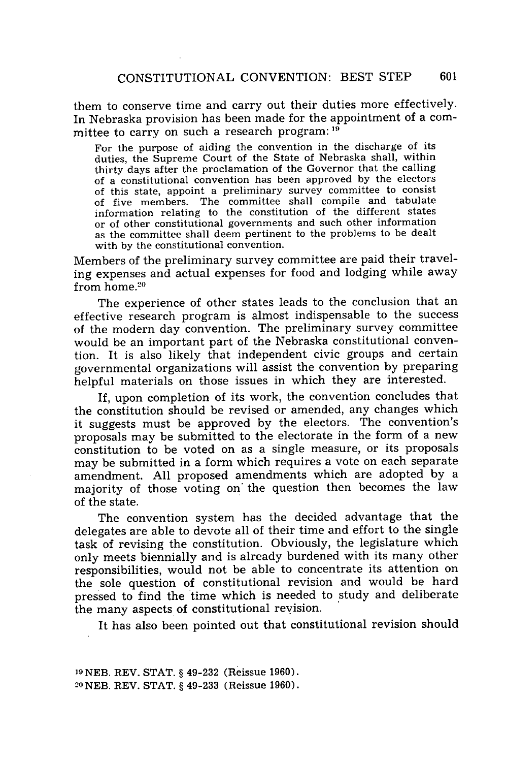them to conserve time and carry out their duties more effectively. In Nebraska provision has been made for the appointment of a committee to carry on such a research program: **19)**

For the purpose of aiding the convention in the discharge of its duties, the Supreme Court of the State of Nebraska shall, within thirty days after the proclamation of the Governor that the calling of a constitutional convention has been approved by the electors of this state, appoint a preliminary survey committee to consist of five members. The committee shall compile and tabulate information relating to the constitution of the different states or of other constitutional governments and such other information as the committee shall deem pertinent to the problems to be dealt with by the constitutional convention.

Members of the preliminary survey committee are paid their traveling expenses and actual expenses for food and lodging while away from  $h$ ome. $20$ 

The experience of other states leads to the conclusion that an effective research program is almost indispensable to the success of the modern day convention. The preliminary survey committee would be an important part of the Nebraska constitutional convention. It is also likely that independent civic groups and certain governmental organizations will assist the convention by preparing helpful materials on those issues in which they are interested.

If, upon completion of its work, the convention concludes that the constitution should be revised or amended, any changes which it suggests must be approved by the electors. The convention's proposals may be submitted to the electorate in the form of a new constitution to be voted on as a single measure, or its proposals may be submitted in a form which requires a vote on each separate amendment. All proposed amendments which are adopted by a majority of those voting on' the question then becomes the law of the state.

The convention system has the decided advantage that the delegates are able to devote all of their time and effort to the single task of revising the constitution. Obviously, the legislature which only meets biennially and is already burdened with its many other responsibilities, would not be able to concentrate its attention on the sole question of constitutional revision and would be hard pressed to find the time which is needed to study and deliberate the many aspects of constitutional revision.

It has also been pointed out that constitutional revision should

**<sup>19</sup>**NEB. REV. STAT. § 49-232 (Reissue 1960). 20 NEB. REV. STAT. § 49-233 (Reissue 1960).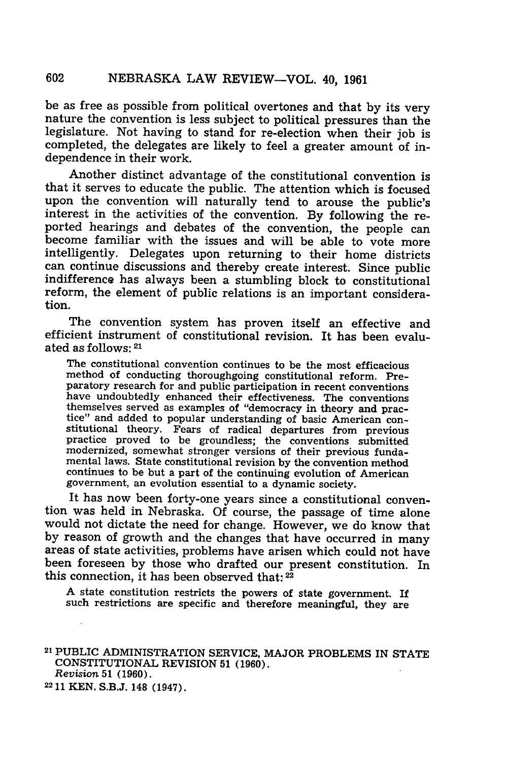be as free as possible from political overtones and that by its very nature the convention is less subject to political pressures than the legislature. Not having to stand for re-election when their job is completed, the delegates are likely to feel a greater amount of independence in their work.

Another distinct advantage of the constitutional convention is that it serves to educate the public. The attention which is focused upon the convention will naturally tend to arouse the public's interest in the activities of the convention. By following the reported hearings and debates of the convention, the people can become familiar with the issues and will be able to vote more intelligently. Delegates upon returning to their home districts can continue discussions and thereby create interest. Since public indifference has always been a stumbling block to constitutional reform, the element of public relations is an important consideration.

The convention system has proven itself an effective and efficient instrument of constitutional revision. It has been evaluated as follows: *21*

The constitutional convention continues to be the most efficacious method of conducting thoroughgoing constitutional reform. Preparatory research for and public participation in recent conventions have undoubtedly enhanced their effectiveness. The conventions themselves served as examples of "democracy in theory and practice" and added to popular understanding of basic American constitutional theory. Fears of radical departures from previous stitutional theory. Fears of radical departures from previous practice proved to be groundless; the conventions submitted modernized, somewhat stronger versions of their previous fundamental laws. State constitutional revisions by the convention method continues to be but a part of the continuing evolution of American government, an evolution essential to a dynamic society.

It has now been forty-one years since a constitutional convention was held in Nebraska. Of course, the passage of time alone would not dictate the need for change. However, we do know that by reason of growth and the changes that have occurred in many areas of state activities, problems have arisen which could not have been foreseen by those who drafted our present constitution. In this connection, it has been observed that:  $2\overline{2}$ 

A state constitution restricts the powers of state government. If such restrictions are specific and therefore meaningful, they are

21 PUBLIC ADMINISTRATION SERVICE, MAJOR PROBLEMS IN STATE CONSTITUTIONAL REVISION **51** (1960).

*Revision* **51** (1960).

<sup>22</sup> **11** KEN. S.B.J. 148 (1947).